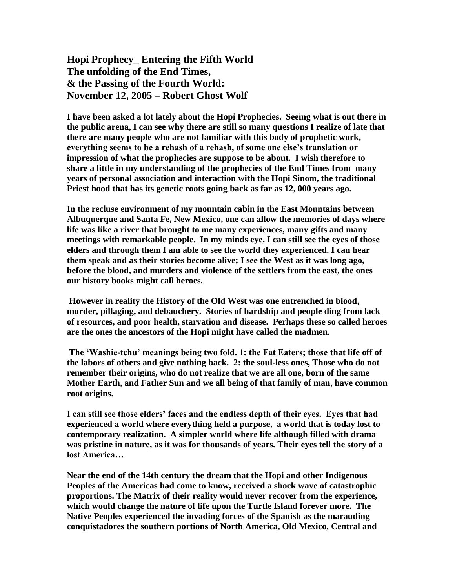## **Hopi Prophecy\_ Entering the Fifth World The unfolding of the End Times, & the Passing of the Fourth World: November 12, 2005 – Robert Ghost Wolf**

**I have been asked a lot lately about the Hopi Prophecies. Seeing what is out there in the public arena, I can see why there are still so many questions I realize of late that there are many people who are not familiar with this body of prophetic work, everything seems to be a rehash of a rehash, of some one else's translation or impression of what the prophecies are suppose to be about. I wish therefore to share a little in my understanding of the prophecies of the End Times from many years of personal association and interaction with the Hopi Sinom, the traditional Priest hood that has its genetic roots going back as far as 12, 000 years ago.**

**In the recluse environment of my mountain cabin in the East Mountains between Albuquerque and Santa Fe, New Mexico, one can allow the memories of days where life was like a river that brought to me many experiences, many gifts and many meetings with remarkable people. In my minds eye, I can still see the eyes of those elders and through them I am able to see the world they experienced. I can hear them speak and as their stories become alive; I see the West as it was long ago, before the blood, and murders and violence of the settlers from the east, the ones our history books might call heroes.**

**However in reality the History of the Old West was one entrenched in blood, murder, pillaging, and debauchery. Stories of hardship and people ding from lack of resources, and poor health, starvation and disease. Perhaps these so called heroes are the ones the ancestors of the Hopi might have called the madmen.** 

**The 'Washie-tchu' meanings being two fold. 1: the Fat Eaters; those that life off of the labors of others and give nothing back. 2: the soul-less ones, Those who do not remember their origins, who do not realize that we are all one, born of the same Mother Earth, and Father Sun and we all being of that family of man, have common root origins.** 

**I can still see those elders' faces and the endless depth of their eyes. Eyes that had experienced a world where everything held a purpose, a world that is today lost to contemporary realization. A simpler world where life although filled with drama was pristine in nature, as it was for thousands of years. Their eyes tell the story of a lost America…**

**Near the end of the 14th century the dream that the Hopi and other Indigenous Peoples of the Americas had come to know, received a shock wave of catastrophic proportions. The Matrix of their reality would never recover from the experience, which would change the nature of life upon the Turtle Island forever more. The Native Peoples experienced the invading forces of the Spanish as the marauding conquistadores the southern portions of North America, Old Mexico, Central and**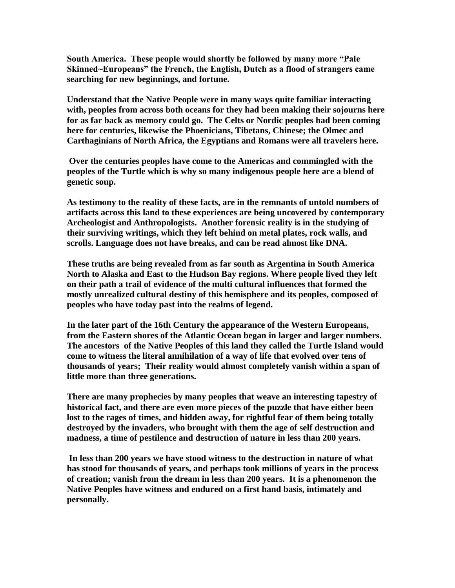**South America. These people would shortly be followed by many more "Pale Skinned~Europeans" the French, the English, Dutch as a flood of strangers came searching for new beginnings, and fortune.**

**Understand that the Native People were in many ways quite familiar interacting with, peoples from across both oceans for they had been making their sojourns here for as far back as memory could go. The Celts or Nordic peoples had been coming here for centuries, likewise the Phoenicians, Tibetans, Chinese; the Olmec and Carthaginians of North Africa, the Egyptians and Romans were all travelers here.** 

**Over the centuries peoples have come to the Americas and commingled with the peoples of the Turtle which is why so many indigenous people here are a blend of genetic soup.** 

**As testimony to the reality of these facts, are in the remnants of untold numbers of artifacts across this land to these experiences are being uncovered by contemporary Archeologist and Anthropologists. Another forensic reality is in the studying of their surviving writings, which they left behind on metal plates, rock walls, and scrolls. Language does not have breaks, and can be read almost like DNA.** 

**These truths are being revealed from as far south as Argentina in South America North to Alaska and East to the Hudson Bay regions. Where people lived they left on their path a trail of evidence of the multi cultural influences that formed the mostly unrealized cultural destiny of this hemisphere and its peoples, composed of peoples who have today past into the realms of legend.**

**In the later part of the 16th Century the appearance of the Western Europeans, from the Eastern shores of the Atlantic Ocean began in larger and larger numbers. The ancestors of the Native Peoples of this land they called the Turtle Island would come to witness the literal annihilation of a way of life that evolved over tens of thousands of years; Their reality would almost completely vanish within a span of little more than three generations.** 

**There are many prophecies by many peoples that weave an interesting tapestry of historical fact, and there are even more pieces of the puzzle that have either been lost to the rages of times, and hidden away, for rightful fear of them being totally destroyed by the invaders, who brought with them the age of self destruction and madness, a time of pestilence and destruction of nature in less than 200 years.** 

**In less than 200 years we have stood witness to the destruction in nature of what has stood for thousands of years, and perhaps took millions of years in the process of creation; vanish from the dream in less than 200 years. It is a phenomenon the Native Peoples have witness and endured on a first hand basis, intimately and personally.**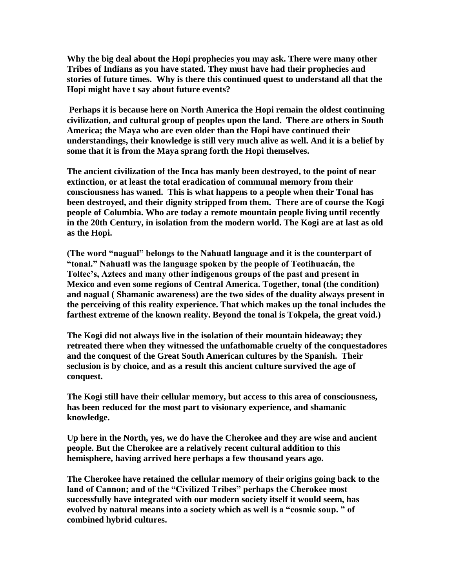**Why the big deal about the Hopi prophecies you may ask. There were many other Tribes of Indians as you have stated. They must have had their prophecies and stories of future times. Why is there this continued quest to understand all that the Hopi might have t say about future events?** 

**Perhaps it is because here on North America the Hopi remain the oldest continuing civilization, and cultural group of peoples upon the land. There are others in South America; the Maya who are even older than the Hopi have continued their understandings, their knowledge is still very much alive as well. And it is a belief by some that it is from the Maya sprang forth the Hopi themselves.**

**The ancient civilization of the Inca has manly been destroyed, to the point of near extinction, or at least the total eradication of communal memory from their consciousness has waned. This is what happens to a people when their Tonal has been destroyed, and their dignity stripped from them. There are of course the Kogi people of Columbia. Who are today a remote mountain people living until recently in the 20th Century, in isolation from the modern world. The Kogi are at last as old as the Hopi.**

**(The word "nagual" belongs to the Nahuatl language and it is the counterpart of "tonal." Nahuatl was the language spoken by the people of Teotihuacán, the Toltec's, Aztecs and many other indigenous groups of the past and present in Mexico and even some regions of Central America. Together, tonal (the condition) and nagual ( Shamanic awareness) are the two sides of the duality always present in the perceiving of this reality experience. That which makes up the tonal includes the farthest extreme of the known reality. Beyond the tonal is Tokpela, the great void.)**

**The Kogi did not always live in the isolation of their mountain hideaway; they retreated there when they witnessed the unfathomable cruelty of the conquestadores and the conquest of the Great South American cultures by the Spanish. Their seclusion is by choice, and as a result this ancient culture survived the age of conquest.** 

**The Kogi still have their cellular memory, but access to this area of consciousness, has been reduced for the most part to visionary experience, and shamanic knowledge.** 

**Up here in the North, yes, we do have the Cherokee and they are wise and ancient people. But the Cherokee are a relatively recent cultural addition to this hemisphere, having arrived here perhaps a few thousand years ago.**

**The Cherokee have retained the cellular memory of their origins going back to the land of Cannon; and of the "Civilized Tribes" perhaps the Cherokee most successfully have integrated with our modern society itself it would seem, has evolved by natural means into a society which as well is a "cosmic soup. " of combined hybrid cultures.**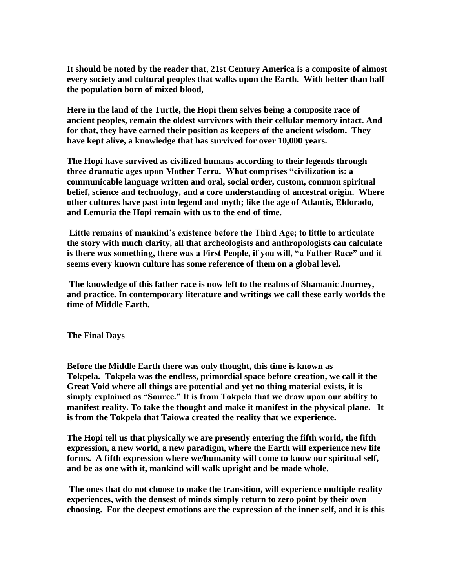**It should be noted by the reader that, 21st Century America is a composite of almost every society and cultural peoples that walks upon the Earth. With better than half the population born of mixed blood,**

**Here in the land of the Turtle, the Hopi them selves being a composite race of ancient peoples, remain the oldest survivors with their cellular memory intact. And for that, they have earned their position as keepers of the ancient wisdom. They have kept alive, a knowledge that has survived for over 10,000 years.** 

**The Hopi have survived as civilized humans according to their legends through three dramatic ages upon Mother Terra. What comprises "civilization is: a communicable language written and oral, social order, custom, common spiritual belief, science and technology, and a core understanding of ancestral origin. Where other cultures have past into legend and myth; like the age of Atlantis, Eldorado, and Lemuria the Hopi remain with us to the end of time.** 

**Little remains of mankind's existence before the Third Age; to little to articulate the story with much clarity, all that archeologists and anthropologists can calculate is there was something, there was a First People, if you will, "a Father Race" and it seems every known culture has some reference of them on a global level.** 

**The knowledge of this father race is now left to the realms of Shamanic Journey, and practice. In contemporary literature and writings we call these early worlds the time of Middle Earth.**

**The Final Days**

**Before the Middle Earth there was only thought, this time is known as Tokpela. Tokpela was the endless, primordial space before creation, we call it the Great Void where all things are potential and yet no thing material exists, it is simply explained as "Source." It is from Tokpela that we draw upon our ability to manifest reality. To take the thought and make it manifest in the physical plane. It is from the Tokpela that Taiowa created the reality that we experience.**

**The Hopi tell us that physically we are presently entering the fifth world, the fifth expression, a new world, a new paradigm, where the Earth will experience new life forms. A fifth expression where we/humanity will come to know our spiritual self, and be as one with it, mankind will walk upright and be made whole.**

**The ones that do not choose to make the transition, will experience multiple reality experiences, with the densest of minds simply return to zero point by their own choosing. For the deepest emotions are the expression of the inner self, and it is this**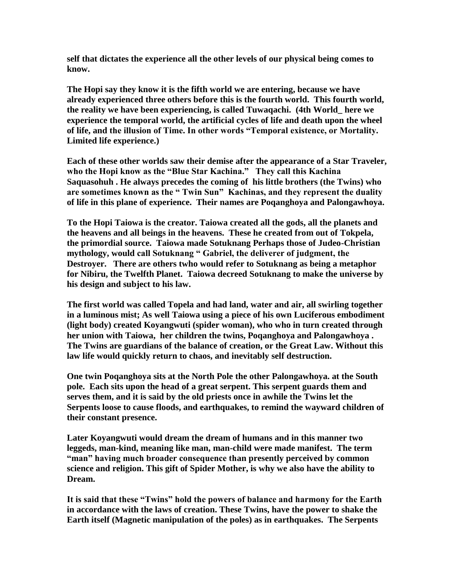**self that dictates the experience all the other levels of our physical being comes to know.**

**The Hopi say they know it is the fifth world we are entering, because we have already experienced three others before this is the fourth world. This fourth world, the reality we have been experiencing, is called Tuwaqachi. (4th World\_ here we experience the temporal world, the artificial cycles of life and death upon the wheel of life, and the illusion of Time. In other words "Temporal existence, or Mortality. Limited life experience.)** 

**Each of these other worlds saw their demise after the appearance of a Star Traveler, who the Hopi know as the "Blue Star Kachina." They call this Kachina Saquasohuh . He always precedes the coming of his little brothers (the Twins) who are sometimes known as the " Twin Sun" Kachinas, and they represent the duality of life in this plane of experience. Their names are Poqanghoya and Palongawhoya.**

**To the Hopi Taiowa is the creator. Taiowa created all the gods, all the planets and the heavens and all beings in the heavens. These he created from out of Tokpela, the primordial source. Taiowa made Sotuknang Perhaps those of Judeo-Christian mythology, would call Sotuknang " Gabriel, the deliverer of judgment, the Destroyer. There are others twho would refer to Sotuknang as being a metaphor for Nibiru, the Twelfth Planet. Taiowa decreed Sotuknang to make the universe by his design and subject to his law.** 

**The first world was called Topela and had land, water and air, all swirling together in a luminous mist; As well Taiowa using a piece of his own Luciferous embodiment (light body) created Koyangwuti (spider woman), who who in turn created through her union with Taiowa, her children the twins, Poqanghoya and Palongawhoya . The Twins are guardians of the balance of creation, or the Great Law. Without this law life would quickly return to chaos, and inevitably self destruction.** 

**One twin Poqanghoya sits at the North Pole the other Palongawhoya. at the South pole. Each sits upon the head of a great serpent. This serpent guards them and serves them, and it is said by the old priests once in awhile the Twins let the Serpents loose to cause floods, and earthquakes, to remind the wayward children of their constant presence.**

**Later Koyangwuti would dream the dream of humans and in this manner two leggeds, man-kind, meaning like man, man-child were made manifest. The term "man" having much broader consequence than presently perceived by common science and religion. This gift of Spider Mother, is why we also have the ability to Dream.** 

**It is said that these "Twins" hold the powers of balance and harmony for the Earth in accordance with the laws of creation. These Twins, have the power to shake the Earth itself (Magnetic manipulation of the poles) as in earthquakes. The Serpents**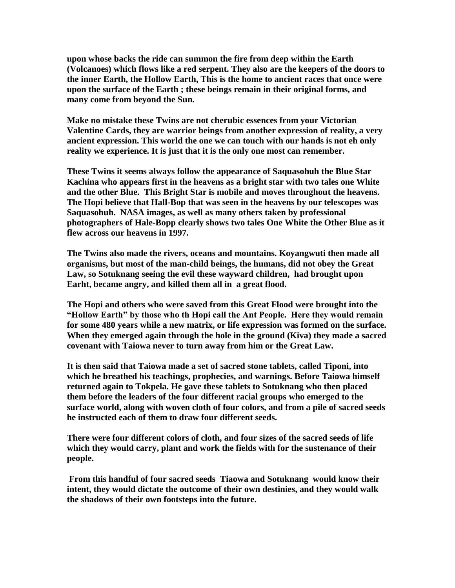**upon whose backs the ride can summon the fire from deep within the Earth (Volcanoes) which flows like a red serpent. They also are the keepers of the doors to the inner Earth, the Hollow Earth, This is the home to ancient races that once were upon the surface of the Earth ; these beings remain in their original forms, and many come from beyond the Sun.** 

**Make no mistake these Twins are not cherubic essences from your Victorian Valentine Cards, they are warrior beings from another expression of reality, a very ancient expression. This world the one we can touch with our hands is not eh only reality we experience. It is just that it is the only one most can remember.** 

**These Twins it seems always follow the appearance of Saquasohuh the Blue Star Kachina who appears first in the heavens as a bright star with two tales one White and the other Blue. This Bright Star is mobile and moves throughout the heavens. The Hopi believe that Hall-Bop that was seen in the heavens by our telescopes was Saquasohuh. NASA images, as well as many others taken by professional photographers of Hale-Bopp clearly shows two tales One White the Other Blue as it flew across our heavens in 1997.**

**The Twins also made the rivers, oceans and mountains. Koyangwuti then made all organisms, but most of the man-child beings, the humans, did not obey the Great Law, so Sotuknang seeing the evil these wayward children, had brought upon Earht, became angry, and killed them all in a great flood.** 

**The Hopi and others who were saved from this Great Flood were brought into the "Hollow Earth" by those who th Hopi call the Ant People. Here they would remain for some 480 years while a new matrix, or life expression was formed on the surface. When they emerged again through the hole in the ground (Kiva) they made a sacred covenant with Taiowa never to turn away from him or the Great Law.** 

**It is then said that Taiowa made a set of sacred stone tablets, called Tiponi, into which he breathed his teachings, prophecies, and warnings. Before Taiowa himself returned again to Tokpela. He gave these tablets to Sotuknang who then placed them before the leaders of the four different racial groups who emerged to the surface world, along with woven cloth of four colors, and from a pile of sacred seeds he instructed each of them to draw four different seeds.** 

**There were four different colors of cloth, and four sizes of the sacred seeds of life which they would carry, plant and work the fields with for the sustenance of their people.** 

**From this handful of four sacred seeds Tiaowa and Sotuknang would know their intent, they would dictate the outcome of their own destinies, and they would walk the shadows of their own footsteps into the future.**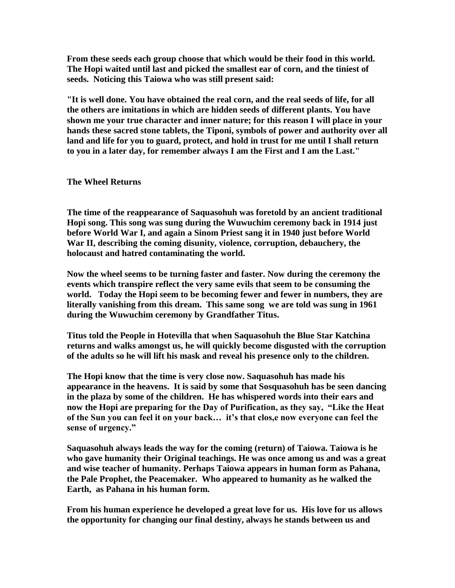**From these seeds each group choose that which would be their food in this world. The Hopi waited until last and picked the smallest ear of corn, and the tiniest of seeds. Noticing this Taiowa who was still present said:**

**"It is well done. You have obtained the real corn, and the real seeds of life, for all the others are imitations in which are hidden seeds of different plants. You have shown me your true character and inner nature; for this reason I will place in your hands these sacred stone tablets, the Tiponi, symbols of power and authority over all land and life for you to guard, protect, and hold in trust for me until I shall return to you in a later day, for remember always I am the First and I am the Last."**

## **The Wheel Returns**

**The time of the reappearance of Saquasohuh was foretold by an ancient traditional Hopi song. This song was sung during the Wuwuchim ceremony back in 1914 just before World War I, and again a Sinom Priest sang it in 1940 just before World War II, describing the coming disunity, violence, corruption, debauchery, the holocaust and hatred contaminating the world.** 

**Now the wheel seems to be turning faster and faster. Now during the ceremony the events which transpire reflect the very same evils that seem to be consuming the world. Today the Hopi seem to be becoming fewer and fewer in numbers, they are literally vanishing from this dream. This same song we are told was sung in 1961 during the Wuwuchim ceremony by Grandfather Titus.** 

**Titus told the People in Hotevilla that when Saquasohuh the Blue Star Katchina returns and walks amongst us, he will quickly become disgusted with the corruption of the adults so he will lift his mask and reveal his presence only to the children.**

**The Hopi know that the time is very close now. Saquasohuh has made his appearance in the heavens. It is said by some that Sosquasohuh has be seen dancing in the plaza by some of the children. He has whispered words into their ears and now the Hopi are preparing for the Day of Purification, as they say, "Like the Heat of the Sun you can feel it on your back… it's that clos,e now everyone can feel the sense of urgency."**

**Saquasohuh always leads the way for the coming (return) of Taiowa. Taiowa is he who gave humanity their Original teachings. He was once among us and was a great and wise teacher of humanity. Perhaps Taiowa appears in human form as Pahana, the Pale Prophet, the Peacemaker. Who appeared to humanity as he walked the Earth, as Pahana in his human form.** 

**From his human experience he developed a great love for us. His love for us allows the opportunity for changing our final destiny, always he stands between us and**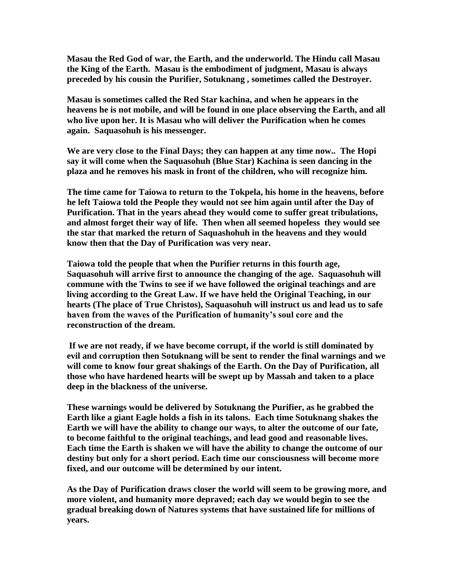**Masau the Red God of war, the Earth, and the underworld. The Hindu call Masau the King of the Earth. Masau is the embodiment of judgment, Masau is always preceded by his cousin the Purifier, Sotuknang , sometimes called the Destroyer.** 

**Masau is sometimes called the Red Star kachina, and when he appears in the heavens he is not mobile, and will be found in one place observing the Earth, and all who live upon her. It is Masau who will deliver the Purification when he comes again. Saquasohuh is his messenger.** 

**We are very close to the Final Days; they can happen at any time now.. The Hopi say it will come when the Saquasohuh (Blue Star) Kachina is seen dancing in the plaza and he removes his mask in front of the children, who will recognize him.**

**The time came for Taiowa to return to the Tokpela, his home in the heavens, before he left Taiowa told the People they would not see him again until after the Day of Purification. That in the years ahead they would come to suffer great tribulations, and almost forget their way of life. Then when all seemed hopeless they would see the star that marked the return of Saquashohuh in the heavens and they would know then that the Day of Purification was very near.**

**Taiowa told the people that when the Purifier returns in this fourth age, Saquasohuh will arrive first to announce the changing of the age. Saquasohuh will commune with the Twins to see if we have followed the original teachings and are living according to the Great Law. If we have held the Original Teaching, in our hearts (The place of True Christos), Saquasohuh will instruct us and lead us to safe haven from the waves of the Purification of humanity's soul core and the reconstruction of the dream.** 

**If we are not ready, if we have become corrupt, if the world is still dominated by evil and corruption then Sotuknang will be sent to render the final warnings and we will come to know four great shakings of the Earth. On the Day of Purification, all those who have hardened hearts will be swept up by Massah and taken to a place deep in the blackness of the universe.** 

**These warnings would be delivered by Sotuknang the Purifier, as he grabbed the Earth like a giant Eagle holds a fish in its talons. Each time Sotuknang shakes the Earth we will have the ability to change our ways, to alter the outcome of our fate, to become faithful to the original teachings, and lead good and reasonable lives. Each time the Earth is shaken we will have the ability to change the outcome of our destiny but only for a short period. Each time our consciousness will become more fixed, and our outcome will be determined by our intent.**

**As the Day of Purification draws closer the world will seem to be growing more, and more violent, and humanity more depraved; each day we would begin to see the gradual breaking down of Natures systems that have sustained life for millions of years.**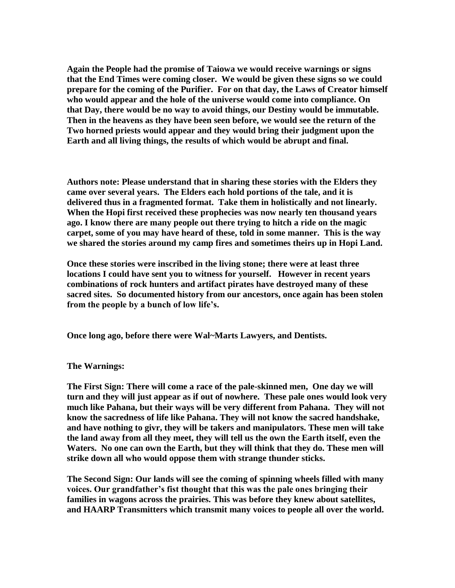**Again the People had the promise of Taiowa we would receive warnings or signs that the End Times were coming closer. We would be given these signs so we could prepare for the coming of the Purifier. For on that day, the Laws of Creator himself who would appear and the hole of the universe would come into compliance. On that Day, there would be no way to avoid things, our Destiny would be immutable. Then in the heavens as they have been seen before, we would see the return of the Two horned priests would appear and they would bring their judgment upon the Earth and all living things, the results of which would be abrupt and final.**

**Authors note: Please understand that in sharing these stories with the Elders they came over several years. The Elders each hold portions of the tale, and it is delivered thus in a fragmented format. Take them in holistically and not linearly. When the Hopi first received these prophecies was now nearly ten thousand years ago. I know there are many people out there trying to hitch a ride on the magic carpet, some of you may have heard of these, told in some manner. This is the way we shared the stories around my camp fires and sometimes theirs up in Hopi Land.** 

**Once these stories were inscribed in the living stone; there were at least three locations I could have sent you to witness for yourself. However in recent years combinations of rock hunters and artifact pirates have destroyed many of these sacred sites. So documented history from our ancestors, once again has been stolen from the people by a bunch of low life's.**

**Once long ago, before there were Wal~Marts Lawyers, and Dentists.**

**The Warnings:**

**The First Sign: There will come a race of the pale-skinned men, One day we will turn and they will just appear as if out of nowhere. These pale ones would look very much like Pahana, but their ways will be very different from Pahana. They will not know the sacredness of life like Pahana. They will not know the sacred handshake, and have nothing to givr, they will be takers and manipulators. These men will take the land away from all they meet, they will tell us the own the Earth itself, even the Waters. No one can own the Earth, but they will think that they do. These men will strike down all who would oppose them with strange thunder sticks.**

**The Second Sign: Our lands will see the coming of spinning wheels filled with many voices. Our grandfather's fist thought that this was the pale ones bringing their families in wagons across the prairies. This was before they knew about satellites, and HAARP Transmitters which transmit many voices to people all over the world.**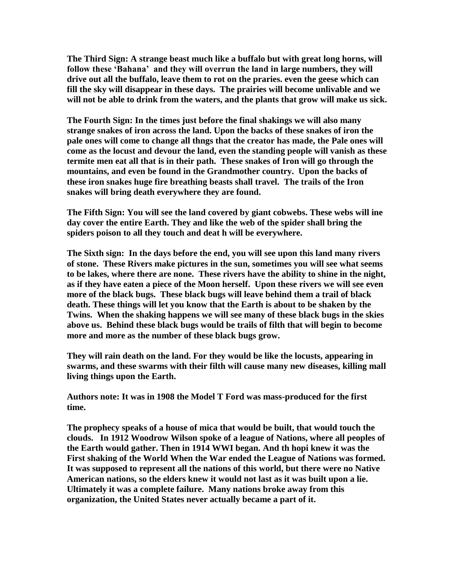**The Third Sign: A strange beast much like a buffalo but with great long horns, will follow these 'Bahana' and they will overrun the land in large numbers, they will drive out all the buffalo, leave them to rot on the praries. even the geese which can fill the sky will disappear in these days. The prairies will become unlivable and we will not be able to drink from the waters, and the plants that grow will make us sick.**

**The Fourth Sign: In the times just before the final shakings we will also many strange snakes of iron across the land. Upon the backs of these snakes of iron the pale ones will come to change all thngs that the creator has made, the Pale ones will come as the locust and devour the land, even the standing people will vanish as these termite men eat all that is in their path. These snakes of Iron will go through the mountains, and even be found in the Grandmother country. Upon the backs of these iron snakes huge fire breathing beasts shall travel. The trails of the Iron snakes will bring death everywhere they are found.**

**The Fifth Sign: You will see the land covered by giant cobwebs. These webs will ine day cover the entire Earth. They and like the web of the spider shall bring the spiders poison to all they touch and deat h will be everywhere.** 

**The Sixth sign: In the days before the end, you will see upon this land many rivers of stone. These Rivers make pictures in the sun, sometimes you will see what seems to be lakes, where there are none. These rivers have the ability to shine in the night, as if they have eaten a piece of the Moon herself. Upon these rivers we will see even more of the black bugs. These black bugs will leave behind them a trail of black death. These things will let you know that the Earth is about to be shaken by the Twins. When the shaking happens we will see many of these black bugs in the skies above us. Behind these black bugs would be trails of filth that will begin to become more and more as the number of these black bugs grow.** 

**They will rain death on the land. For they would be like the locusts, appearing in swarms, and these swarms with their filth will cause many new diseases, killing mall living things upon the Earth.** 

**Authors note: It was in 1908 the Model T Ford was mass-produced for the first time.** 

**The prophecy speaks of a house of mica that would be built, that would touch the clouds. In 1912 Woodrow Wilson spoke of a league of Nations, where all peoples of the Earth would gather. Then in 1914 WWI began. And th hopi knew it was the First shaking of the World When the War ended the League of Nations was formed. It was supposed to represent all the nations of this world, but there were no Native American nations, so the elders knew it would not last as it was built upon a lie. Ultimately it was a complete failure. Many nations broke away from this organization, the United States never actually became a part of it.**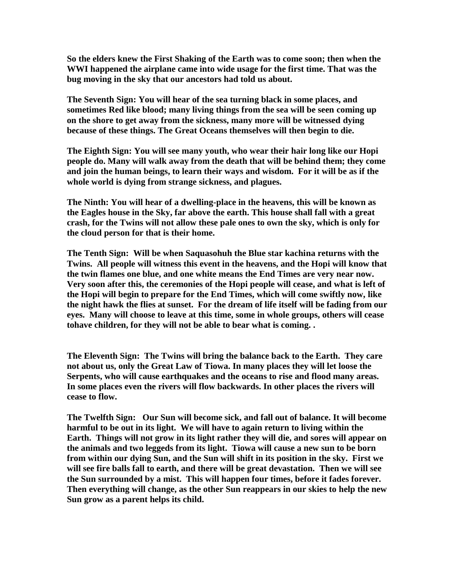**So the elders knew the First Shaking of the Earth was to come soon; then when the WWI happened the airplane came into wide usage for the first time. That was the bug moving in the sky that our ancestors had told us about.**

**The Seventh Sign: You will hear of the sea turning black in some places, and sometimes Red like blood; many living things from the sea will be seen coming up on the shore to get away from the sickness, many more will be witnessed dying because of these things. The Great Oceans themselves will then begin to die.**

**The Eighth Sign: You will see many youth, who wear their hair long like our Hopi people do. Many will walk away from the death that will be behind them; they come and join the human beings, to learn their ways and wisdom. For it will be as if the whole world is dying from strange sickness, and plagues.** 

**The Ninth: You will hear of a dwelling-place in the heavens, this will be known as the Eagles house in the Sky, far above the earth. This house shall fall with a great crash, for the Twins will not allow these pale ones to own the sky, which is only for the cloud person for that is their home.**

**The Tenth Sign: Will be when Saquasohuh the Blue star kachina returns with the Twins. All people will witness this event in the heavens, and the Hopi will know that the twin flames one blue, and one white means the End Times are very near now. Very soon after this, the ceremonies of the Hopi people will cease, and what is left of the Hopi will begin to prepare for the End Times, which will come swiftly now, like the night hawk the flies at sunset. For the dream of life itself will be fading from our eyes. Many will choose to leave at this time, some in whole groups, others will cease tohave children, for they will not be able to bear what is coming. .** 

**The Eleventh Sign: The Twins will bring the balance back to the Earth. They care not about us, only the Great Law of Tiowa. In many places they will let loose the Serpents, who will cause earthquakes and the oceans to rise and flood many areas. In some places even the rivers will flow backwards. In other places the rivers will cease to flow.**

**The Twelfth Sign: Our Sun will become sick, and fall out of balance. It will become harmful to be out in its light. We will have to again return to living within the Earth. Things will not grow in its light rather they will die, and sores will appear on the animals and two leggeds from its light. Tiowa will cause a new sun to be born from within our dying Sun, and the Sun will shift in its position in the sky. First we will see fire balls fall to earth, and there will be great devastation. Then we will see the Sun surrounded by a mist. This will happen four times, before it fades forever. Then everything will change, as the other Sun reappears in our skies to help the new Sun grow as a parent helps its child.**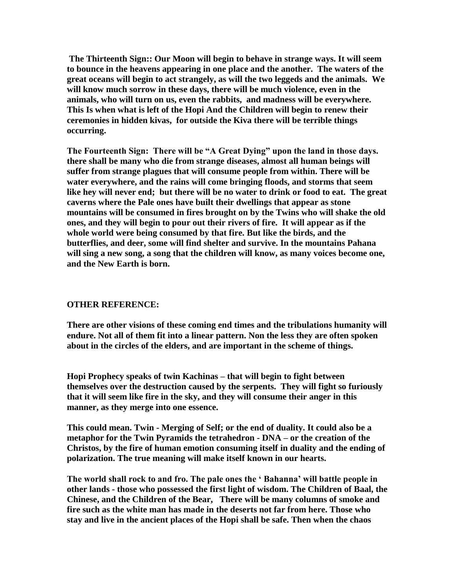**The Thirteenth Sign:: Our Moon will begin to behave in strange ways. It will seem to bounce in the heavens appearing in one place and the another. The waters of the great oceans will begin to act strangely, as will the two leggeds and the animals. We will know much sorrow in these days, there will be much violence, even in the animals, who will turn on us, even the rabbits, and madness will be everywhere. This Is when what is left of the Hopi And the Children will begin to renew their ceremonies in hidden kivas, for outside the Kiva there will be terrible things occurring.**

**The Fourteenth Sign: There will be "A Great Dying" upon the land in those days. there shall be many who die from strange diseases, almost all human beings will suffer from strange plagues that will consume people from within. There will be water everywhere, and the rains will come bringing floods, and storms that seem like hey will never end; but there will be no water to drink or food to eat. The great caverns where the Pale ones have built their dwellings that appear as stone mountains will be consumed in fires brought on by the Twins who will shake the old ones, and they will begin to pour out their rivers of fire. It will appear as if the whole world were being consumed by that fire. But like the birds, and the butterflies, and deer, some will find shelter and survive. In the mountains Pahana will sing a new song, a song that the children will know, as many voices become one, and the New Earth is born.** 

## **OTHER REFERENCE:**

**There are other visions of these coming end times and the tribulations humanity will endure. Not all of them fit into a linear pattern. Non the less they are often spoken about in the circles of the elders, and are important in the scheme of things.** 

**Hopi Prophecy speaks of twin Kachinas – that will begin to fight between themselves over the destruction caused by the serpents. They will fight so furiously that it will seem like fire in the sky, and they will consume their anger in this manner, as they merge into one essence.** 

**This could mean. Twin - Merging of Self; or the end of duality. It could also be a metaphor for the Twin Pyramids the tetrahedron - DNA – or the creation of the Christos, by the fire of human emotion consuming itself in duality and the ending of polarization. The true meaning will make itself known in our hearts.**

**The world shall rock to and fro. The pale ones the ' Bahanna' will battle people in other lands - those who possessed the first light of wisdom. The Children of Baal, the Chinese, and the Children of the Bear, There will be many columns of smoke and fire such as the white man has made in the deserts not far from here. Those who stay and live in the ancient places of the Hopi shall be safe. Then when the chaos**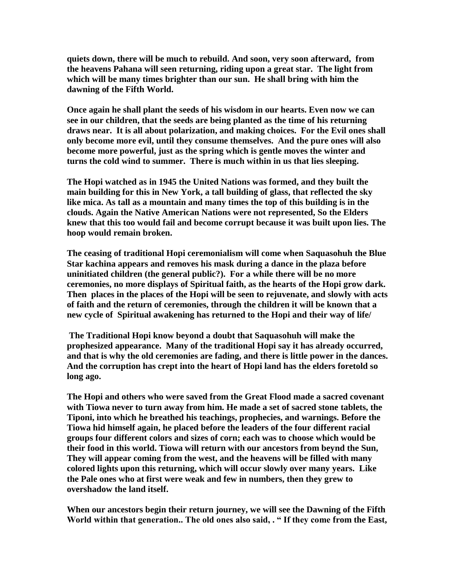**quiets down, there will be much to rebuild. And soon, very soon afterward, from the heavens Pahana will seen returning, riding upon a great star. The light from which will be many times brighter than our sun. He shall bring with him the dawning of the Fifth World.** 

**Once again he shall plant the seeds of his wisdom in our hearts. Even now we can see in our children, that the seeds are being planted as the time of his returning draws near. It is all about polarization, and making choices. For the Evil ones shall only become more evil, until they consume themselves. And the pure ones will also become more powerful, just as the spring which is gentle moves the winter and turns the cold wind to summer. There is much within in us that lies sleeping.** 

**The Hopi watched as in 1945 the United Nations was formed, and they built the main building for this in New York, a tall building of glass, that reflected the sky like mica. As tall as a mountain and many times the top of this building is in the clouds. Again the Native American Nations were not represented, So the Elders knew that this too would fail and become corrupt because it was built upon lies. The hoop would remain broken.**

**The ceasing of traditional Hopi ceremonialism will come when Saquasohuh the Blue Star kachina appears and removes his mask during a dance in the plaza before uninitiated children (the general public?). For a while there will be no more ceremonies, no more displays of Spiritual faith, as the hearts of the Hopi grow dark. Then places in the places of the Hopi will be seen to rejuvenate, and slowly with acts of faith and the return of ceremonies, through the children it will be known that a new cycle of Spiritual awakening has returned to the Hopi and their way of life/**

**The Traditional Hopi know beyond a doubt that Saquasohuh will make the prophesized appearance. Many of the traditional Hopi say it has already occurred, and that is why the old ceremonies are fading, and there is little power in the dances. And the corruption has crept into the heart of Hopi land has the elders foretold so long ago.** 

**The Hopi and others who were saved from the Great Flood made a sacred covenant with Tiowa never to turn away from him. He made a set of sacred stone tablets, the Tiponi, into which he breathed his teachings, prophecies, and warnings. Before the Tiowa hid himself again, he placed before the leaders of the four different racial groups four different colors and sizes of corn; each was to choose which would be their food in this world. Tiowa will return with our ancestors from beynd the Sun, They will appear coming from the west, and the heavens will be filled with many colored lights upon this returning, which will occur slowly over many years. Like the Pale ones who at first were weak and few in numbers, then they grew to overshadow the land itself.** 

**When our ancestors begin their return journey, we will see the Dawning of the Fifth World within that generation.. The old ones also said, . " If they come from the East,**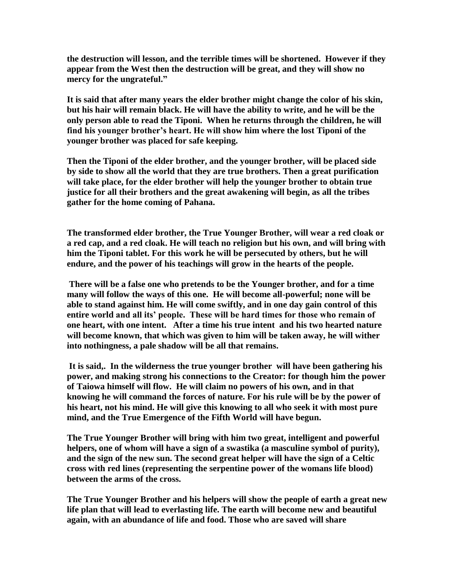**the destruction will lesson, and the terrible times will be shortened. However if they appear from the West then the destruction will be great, and they will show no mercy for the ungrateful."**

**It is said that after many years the elder brother might change the color of his skin, but his hair will remain black. He will have the ability to write, and he will be the only person able to read the Tiponi. When he returns through the children, he will find his younger brother's heart. He will show him where the lost Tiponi of the younger brother was placed for safe keeping.** 

**Then the Tiponi of the elder brother, and the younger brother, will be placed side by side to show all the world that they are true brothers. Then a great purification will take place, for the elder brother will help the younger brother to obtain true justice for all their brothers and the great awakening will begin, as all the tribes gather for the home coming of Pahana.**

**The transformed elder brother, the True Younger Brother, will wear a red cloak or a red cap, and a red cloak. He will teach no religion but his own, and will bring with him the Tiponi tablet. For this work he will be persecuted by others, but he will endure, and the power of his teachings will grow in the hearts of the people.**

**There will be a false one who pretends to be the Younger brother, and for a time many will follow the ways of this one. He will become all-powerful; none will be able to stand against him. He will come swiftly, and in one day gain control of this entire world and all its' people. These will be hard times for those who remain of one heart, with one intent. After a time his true intent and his two hearted nature will become known, that which was given to him will be taken away, he will wither into nothingness, a pale shadow will be all that remains.**

**It is said,. In the wilderness the true younger brother will have been gathering his power, and making strong his connections to the Creator: for though him the power of Taiowa himself will flow. He will claim no powers of his own, and in that knowing he will command the forces of nature. For his rule will be by the power of his heart, not his mind. He will give this knowing to all who seek it with most pure mind, and the True Emergence of the Fifth World will have begun.** 

**The True Younger Brother will bring with him two great, intelligent and powerful helpers, one of whom will have a sign of a swastika (a masculine symbol of purity), and the sign of the new sun. The second great helper will have the sign of a Celtic cross with red lines (representing the serpentine power of the womans life blood) between the arms of the cross.** 

**The True Younger Brother and his helpers will show the people of earth a great new life plan that will lead to everlasting life. The earth will become new and beautiful again, with an abundance of life and food. Those who are saved will share**